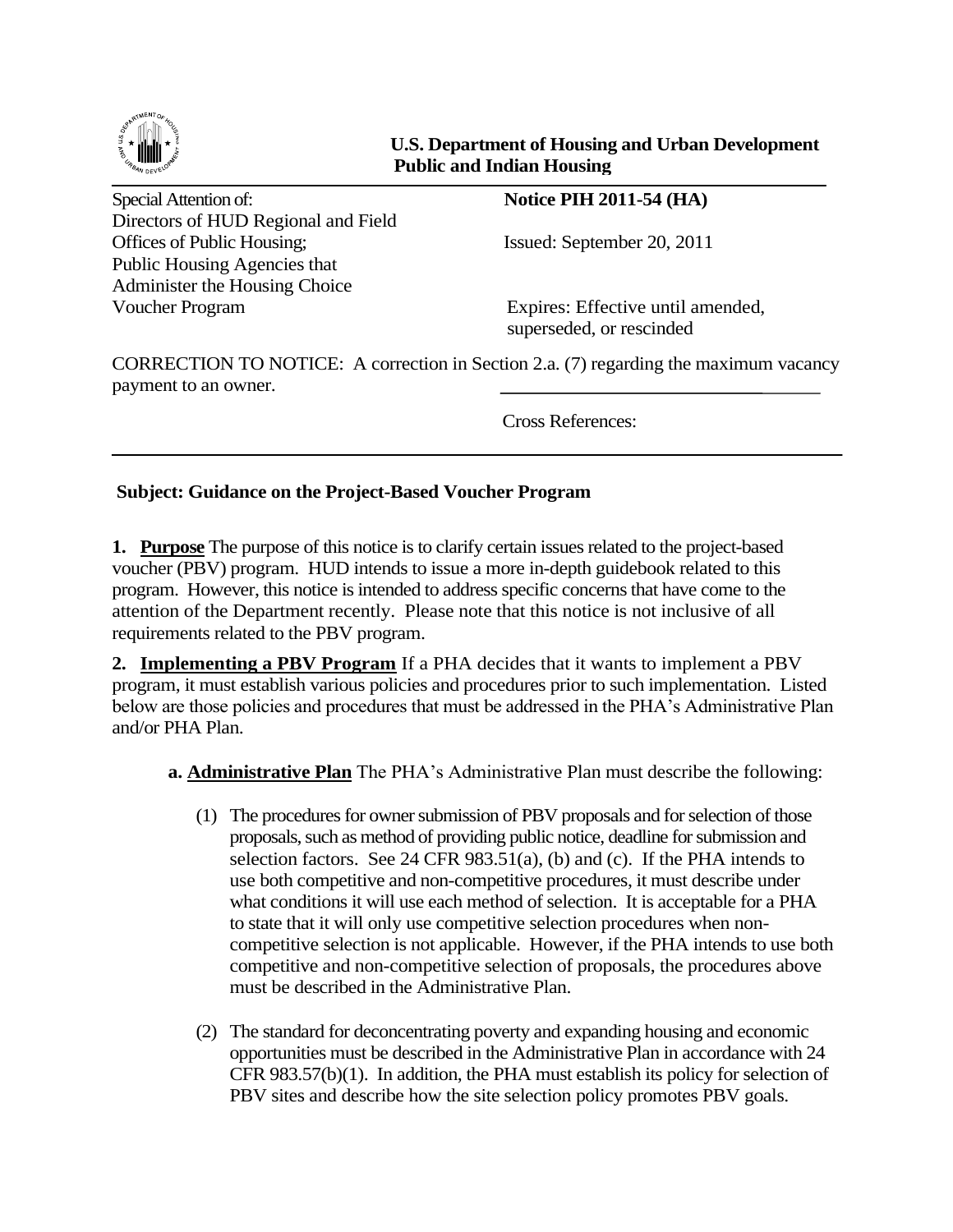

## **U.S. Department of Housing and Urban Development Public and Indian Housing**

Special Attention of: **Notice PIH 2011-54 (HA)** Directors of HUD Regional and Field Offices of Public Housing; Issued: September 20, 2011 Public Housing Agencies that Administer the Housing Choice Voucher Program Expires: Effective until amended,

superseded, or rescinded

CORRECTION TO NOTICE: A correction in Section 2.a. (7) regarding the maximum vacancy payment to an owner.

Cross References:

## **Subject: Guidance on the Project-Based Voucher Program**

**1. Purpose** The purpose of this notice is to clarify certain issues related to the project-based voucher (PBV) program. HUD intends to issue a more in-depth guidebook related to this program. However, this notice is intended to address specific concerns that have come to the attention of the Department recently. Please note that this notice is not inclusive of all requirements related to the PBV program.

**2. Implementing a PBV Program** If a PHA decides that it wants to implement a PBV program, it must establish various policies and procedures prior to such implementation. Listed below are those policies and procedures that must be addressed in the PHA's Administrative Plan and/or PHA Plan.

**a. Administrative Plan** The PHA's Administrative Plan must describe the following:

- (1) The procedures for owner submission of PBV proposals and for selection of those proposals, such as method of providing public notice, deadline for submission and selection factors. See 24 CFR  $983.51(a)$ , (b) and (c). If the PHA intends to use both competitive and non-competitive procedures, it must describe under what conditions it will use each method of selection. It is acceptable for a PHA to state that it will only use competitive selection procedures when noncompetitive selection is not applicable. However, if the PHA intends to use both competitive and non-competitive selection of proposals, the procedures above must be described in the Administrative Plan.
- (2) The standard for deconcentrating poverty and expanding housing and economic opportunities must be described in the Administrative Plan in accordance with 24 CFR 983.57(b)(1). In addition, the PHA must establish its policy for selection of PBV sites and describe how the site selection policy promotes PBV goals.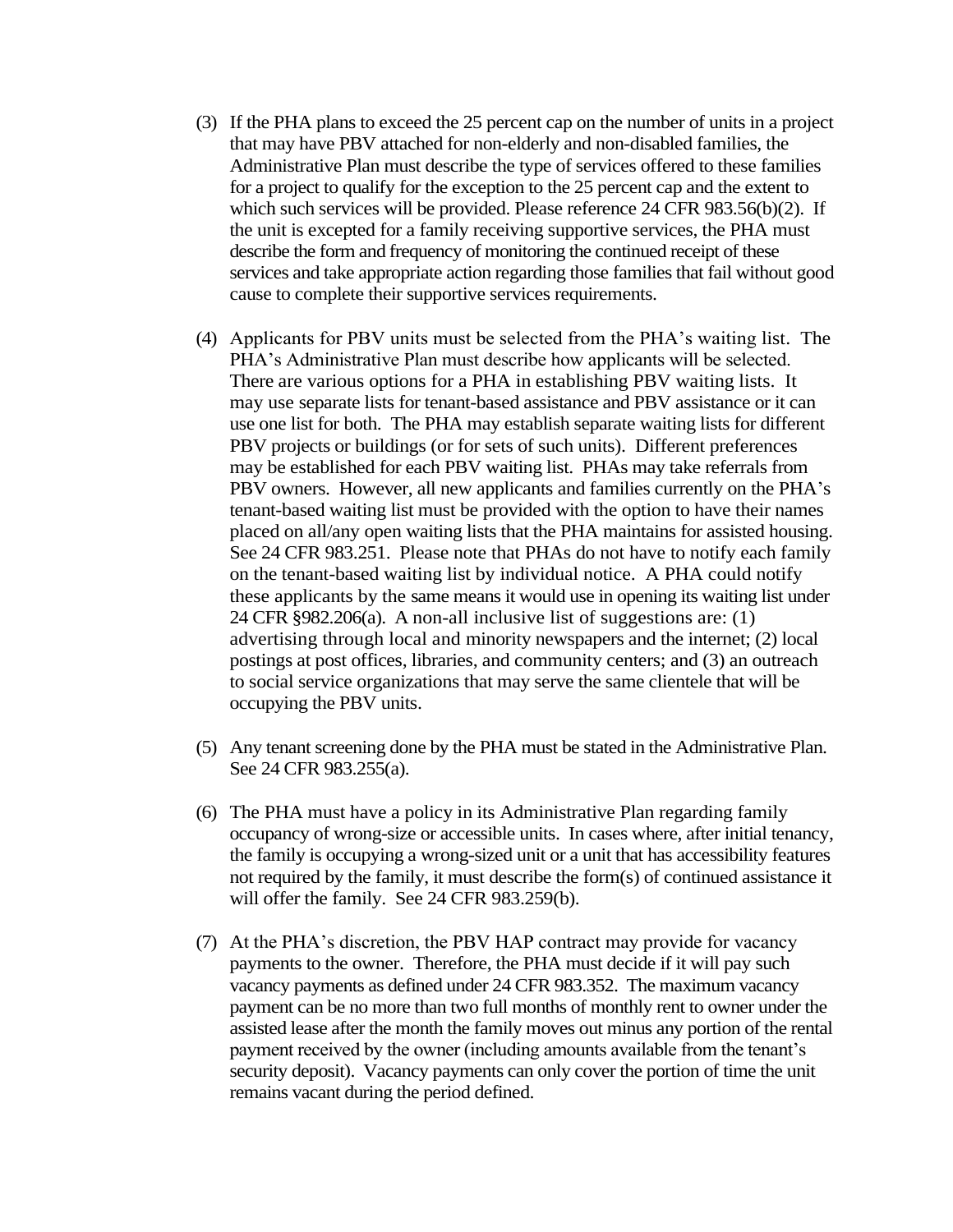- (3) If the PHA plans to exceed the 25 percent cap on the number of units in a project that may have PBV attached for non-elderly and non-disabled families, the Administrative Plan must describe the type of services offered to these families for a project to qualify for the exception to the 25 percent cap and the extent to which such services will be provided. Please reference 24 CFR 983.56(b)(2). If the unit is excepted for a family receiving supportive services, the PHA must describe the form and frequency of monitoring the continued receipt of these services and take appropriate action regarding those families that fail without good cause to complete their supportive services requirements.
- (4) Applicants for PBV units must be selected from the PHA's waiting list. The PHA's Administrative Plan must describe how applicants will be selected. There are various options for a PHA in establishing PBV waiting lists. It may use separate lists for tenant-based assistance and PBV assistance or it can use one list for both. The PHA may establish separate waiting lists for different PBV projects or buildings (or for sets of such units). Different preferences may be established for each PBV waiting list. PHAs may take referrals from PBV owners. However, all new applicants and families currently on the PHA's tenant-based waiting list must be provided with the option to have their names placed on all/any open waiting lists that the PHA maintains for assisted housing. See 24 CFR 983.251. Please note that PHAs do not have to notify each family on the tenant-based waiting list by individual notice. A PHA could notify these applicants by the same means it would use in opening its waiting list under 24 CFR §982.206(a). A non-all inclusive list of suggestions are: (1) advertising through local and minority newspapers and the internet; (2) local postings at post offices, libraries, and community centers; and (3) an outreach to social service organizations that may serve the same clientele that will be occupying the PBV units.
- (5) Any tenant screening done by the PHA must be stated in the Administrative Plan. See 24 CFR 983.255(a).
- (6) The PHA must have a policy in its Administrative Plan regarding family occupancy of wrong-size or accessible units. In cases where, after initial tenancy, the family is occupying a wrong-sized unit or a unit that has accessibility features not required by the family, it must describe the form(s) of continued assistance it will offer the family. See 24 CFR 983.259(b).
- (7) At the PHA's discretion, the PBV HAP contract may provide for vacancy payments to the owner. Therefore, the PHA must decide if it will pay such vacancy payments as defined under 24 CFR 983.352. The maximum vacancy payment can be no more than two full months of monthly rent to owner under the assisted lease after the month the family moves out minus any portion of the rental payment received by the owner (including amounts available from the tenant's security deposit). Vacancy payments can only cover the portion of time the unit remains vacant during the period defined.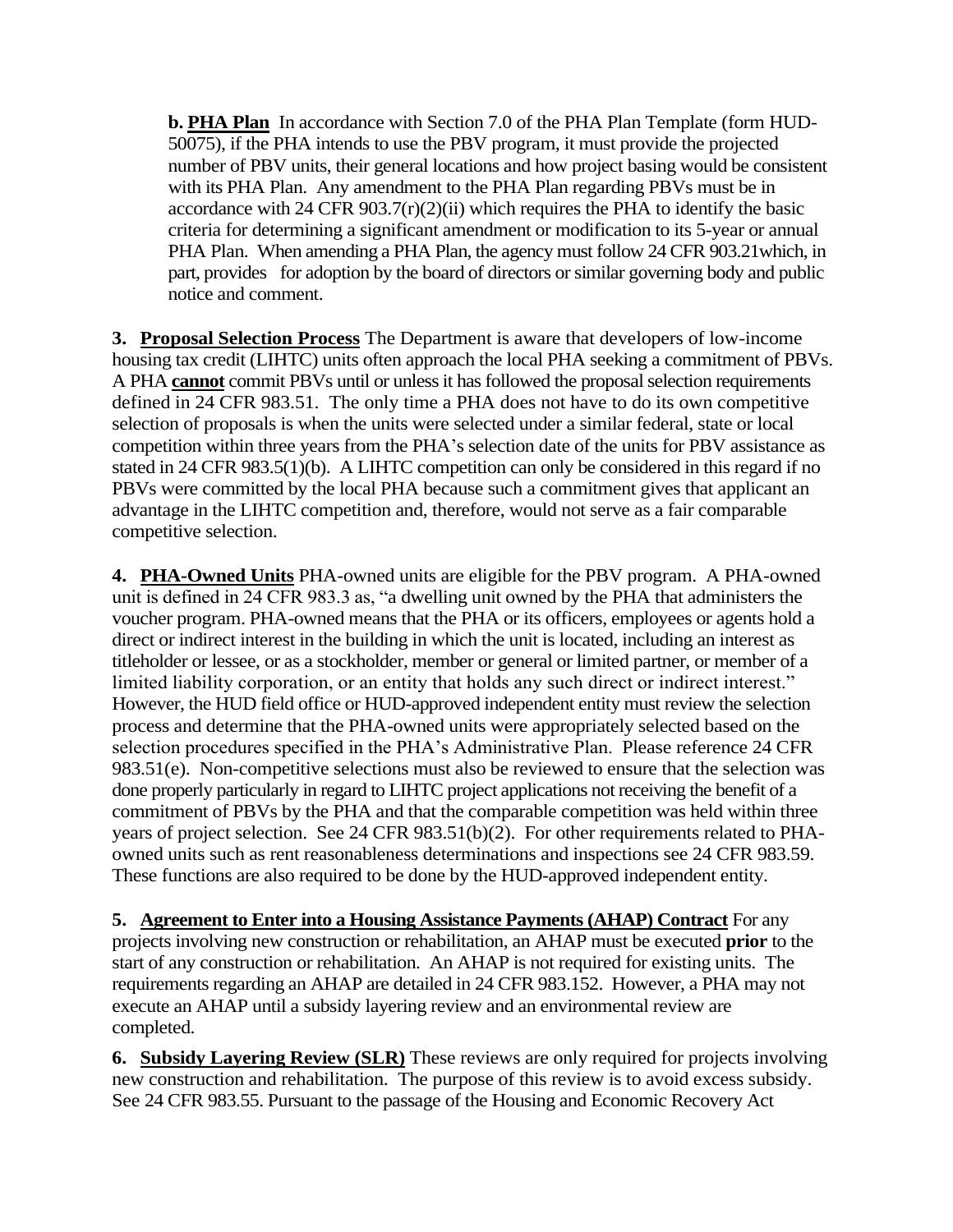**b. PHA Plan** In accordance with Section 7.0 of the PHA Plan Template (form HUD-50075), if the PHA intends to use the PBV program, it must provide the projected number of PBV units, their general locations and how project basing would be consistent with its PHA Plan. Any amendment to the PHA Plan regarding PBVs must be in accordance with 24 CFR 903.7 $(r)(2)(ii)$  which requires the PHA to identify the basic criteria for determining a significant amendment or modification to its 5-year or annual PHA Plan. When amending a PHA Plan, the agency must follow 24 CFR 903.21which, in part, provides for adoption by the board of directors or similar governing body and public notice and comment.

**3. Proposal Selection Process** The Department is aware that developers of low-income housing tax credit (LIHTC) units often approach the local PHA seeking a commitment of PBVs. A PHA **cannot** commit PBVs until or unless it has followed the proposal selection requirements defined in 24 CFR 983.51. The only time a PHA does not have to do its own competitive selection of proposals is when the units were selected under a similar federal, state or local competition within three years from the PHA's selection date of the units for PBV assistance as stated in 24 CFR 983.5(1)(b). A LIHTC competition can only be considered in this regard if no PBVs were committed by the local PHA because such a commitment gives that applicant an advantage in the LIHTC competition and, therefore, would not serve as a fair comparable competitive selection.

**4. PHA-Owned Units** PHA-owned units are eligible for the PBV program. A PHA-owned unit is defined in 24 CFR 983.3 as, "a dwelling unit owned by the PHA that administers the voucher program. PHA-owned means that the PHA or its officers, employees or agents hold a direct or indirect interest in the building in which the unit is located, including an interest as titleholder or lessee, or as a stockholder, member or general or limited partner, or member of a limited liability corporation, or an entity that holds any such direct or indirect interest." However, the HUD field office or HUD-approved independent entity must review the selection process and determine that the PHA-owned units were appropriately selected based on the selection procedures specified in the PHA's Administrative Plan. Please reference 24 CFR 983.51(e). Non-competitive selections must also be reviewed to ensure that the selection was done properly particularly in regard to LIHTC project applications not receiving the benefit of a commitment of PBVs by the PHA and that the comparable competition was held within three years of project selection. See 24 CFR 983.51(b)(2). For other requirements related to PHAowned units such as rent reasonableness determinations and inspections see 24 CFR 983.59. These functions are also required to be done by the HUD-approved independent entity.

**5. Agreement to Enter into a Housing Assistance Payments (AHAP) Contract** For any projects involving new construction or rehabilitation, an AHAP must be executed **prior** to the start of any construction or rehabilitation. An AHAP is not required for existing units. The requirements regarding an AHAP are detailed in 24 CFR 983.152. However, a PHA may not execute an AHAP until a subsidy layering review and an environmental review are completed.

**6. Subsidy Layering Review (SLR)** These reviews are only required for projects involving new construction and rehabilitation. The purpose of this review is to avoid excess subsidy. See 24 CFR 983.55. Pursuant to the passage of the Housing and Economic Recovery Act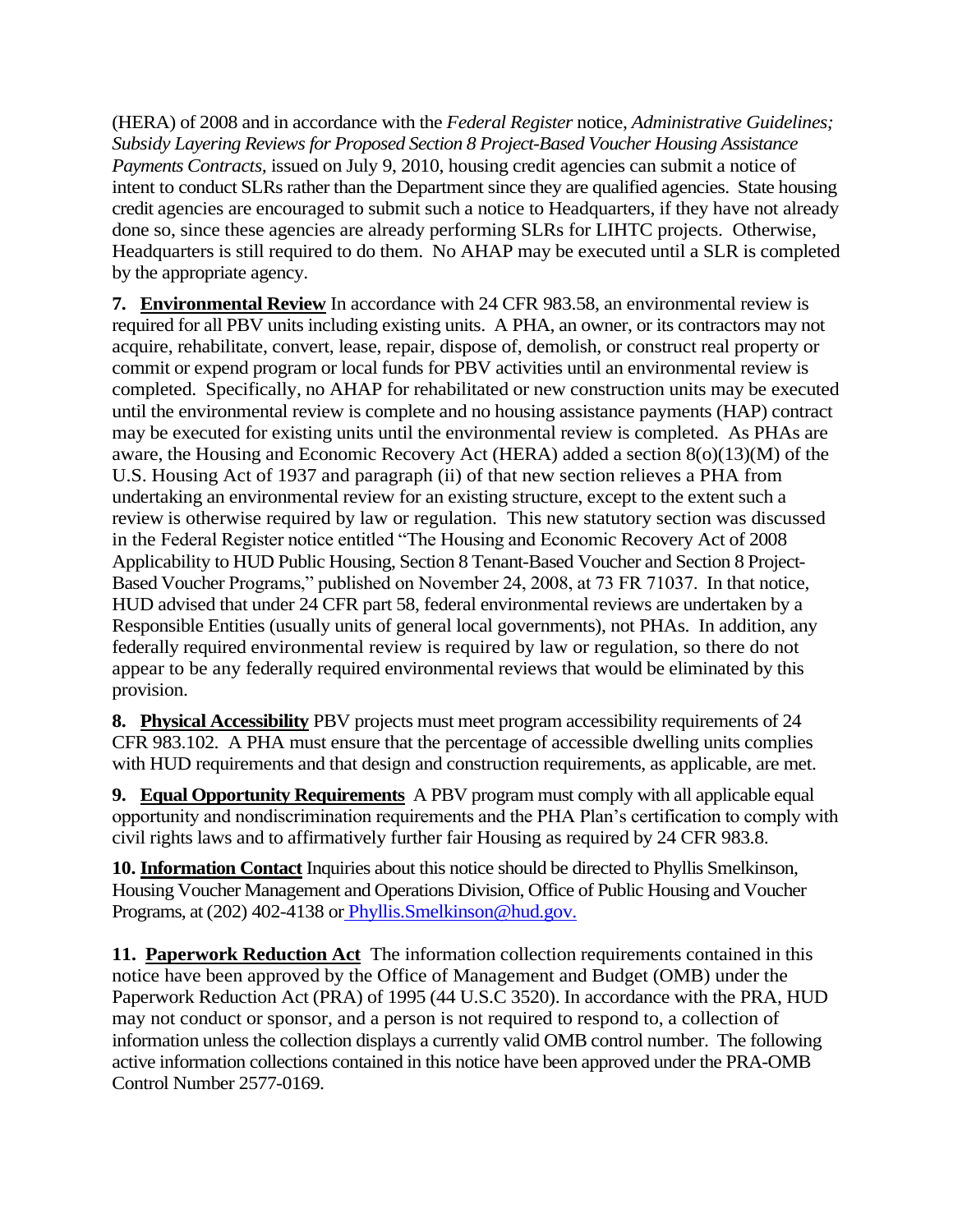(HERA) of 2008 and in accordance with the *Federal Register* notice, *Administrative Guidelines; Subsidy Layering Reviews for Proposed Section 8 Project-Based Voucher Housing Assistance Payments Contracts,* issued on July 9, 2010, housing credit agencies can submit a notice of intent to conduct SLRs rather than the Department since they are qualified agencies. State housing credit agencies are encouraged to submit such a notice to Headquarters, if they have not already done so, since these agencies are already performing SLRs for LIHTC projects. Otherwise, Headquarters is still required to do them. No AHAP may be executed until a SLR is completed by the appropriate agency.

**7. Environmental Review** In accordance with 24 CFR 983.58, an environmental review is required for all PBV units including existing units. A PHA, an owner, or its contractors may not acquire, rehabilitate, convert, lease, repair, dispose of, demolish, or construct real property or commit or expend program or local funds for PBV activities until an environmental review is completed. Specifically, no AHAP for rehabilitated or new construction units may be executed until the environmental review is complete and no housing assistance payments (HAP) contract may be executed for existing units until the environmental review is completed. As PHAs are aware, the Housing and Economic Recovery Act (HERA) added a section 8(o)(13)(M) of the U.S. Housing Act of 1937 and paragraph (ii) of that new section relieves a PHA from undertaking an environmental review for an existing structure, except to the extent such a review is otherwise required by law or regulation. This new statutory section was discussed in the Federal Register notice entitled "The Housing and Economic Recovery Act of 2008 Applicability to HUD Public Housing, Section 8 Tenant-Based Voucher and Section 8 Project-Based Voucher Programs," published on November 24, 2008, at 73 FR 71037. In that notice, HUD advised that under 24 CFR part 58, federal environmental reviews are undertaken by a Responsible Entities (usually units of general local governments), not PHAs. In addition, any federally required environmental review is required by law or regulation, so there do not appear to be any federally required environmental reviews that would be eliminated by this provision.

**8. Physical Accessibility** PBV projects must meet program accessibility requirements of 24 CFR 983.102. A PHA must ensure that the percentage of accessible dwelling units complies with HUD requirements and that design and construction requirements, as applicable, are met.

**9. Equal Opportunity Requirements** A PBV program must comply with all applicable equal opportunity and nondiscrimination requirements and the PHA Plan's certification to comply with civil rights laws and to affirmatively further fair Housing as required by 24 CFR 983.8.

**10. Information Contact** Inquiries about this notice should be directed to Phyllis Smelkinson, Housing Voucher Management and Operations Division, Office of Public Housing and Voucher Programs, at (202) 402-4138 or [Phyllis.Smelkinson@hud.gov.](mailto:Phyllis.Smelkinson@hud.gov)

**11. Paperwork Reduction Act** The information collection requirements contained in this notice have been approved by the Office of Management and Budget (OMB) under the Paperwork Reduction Act (PRA) of 1995 (44 U.S.C 3520). In accordance with the PRA, HUD may not conduct or sponsor, and a person is not required to respond to, a collection of information unless the collection displays a currently valid OMB control number. The following active information collections contained in this notice have been approved under the PRA-OMB Control Number 2577-0169.